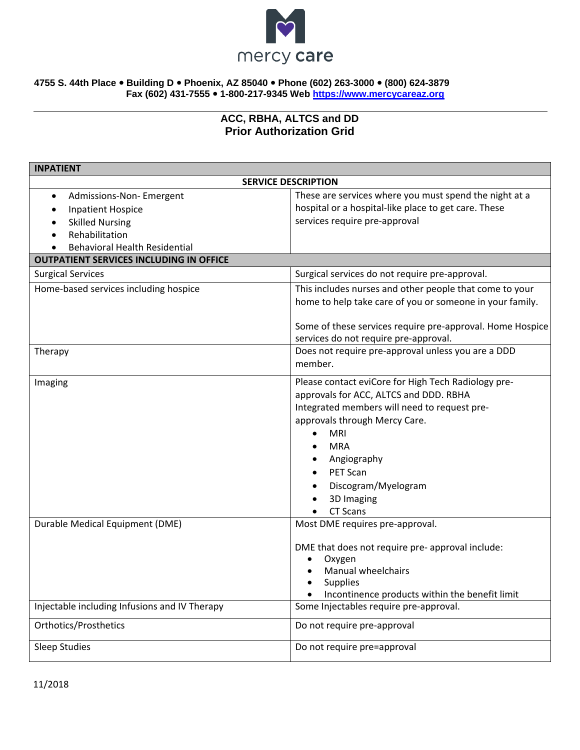

## **4755 S. 44th Place Building D Phoenix, AZ 85040 Phone (602) 263-3000 (800) 624-3879 Fax (602) 431-7555 1-800-217-9345 Web [https://www.mercycareaz.org](https://www.mercycareaz.org/)**

## **ACC, RBHA, ALTCS and DD Prior Authorization Grid**

| <b>INPATIENT</b>                               |                                                                                                                                                                                                                                                                                                                                                         |  |
|------------------------------------------------|---------------------------------------------------------------------------------------------------------------------------------------------------------------------------------------------------------------------------------------------------------------------------------------------------------------------------------------------------------|--|
| <b>SERVICE DESCRIPTION</b>                     |                                                                                                                                                                                                                                                                                                                                                         |  |
| Admissions-Non-Emergent<br>$\bullet$           | These are services where you must spend the night at a                                                                                                                                                                                                                                                                                                  |  |
| <b>Inpatient Hospice</b>                       | hospital or a hospital-like place to get care. These                                                                                                                                                                                                                                                                                                    |  |
| <b>Skilled Nursing</b>                         | services require pre-approval                                                                                                                                                                                                                                                                                                                           |  |
| Rehabilitation<br>$\bullet$                    |                                                                                                                                                                                                                                                                                                                                                         |  |
| <b>Behavioral Health Residential</b>           |                                                                                                                                                                                                                                                                                                                                                         |  |
| <b>OUTPATIENT SERVICES INCLUDING IN OFFICE</b> |                                                                                                                                                                                                                                                                                                                                                         |  |
| <b>Surgical Services</b>                       | Surgical services do not require pre-approval.                                                                                                                                                                                                                                                                                                          |  |
| Home-based services including hospice          | This includes nurses and other people that come to your                                                                                                                                                                                                                                                                                                 |  |
|                                                | home to help take care of you or someone in your family.                                                                                                                                                                                                                                                                                                |  |
|                                                | Some of these services require pre-approval. Home Hospice<br>services do not require pre-approval.                                                                                                                                                                                                                                                      |  |
| Therapy                                        | Does not require pre-approval unless you are a DDD<br>member.                                                                                                                                                                                                                                                                                           |  |
| Imaging                                        | Please contact eviCore for High Tech Radiology pre-<br>approvals for ACC, ALTCS and DDD. RBHA<br>Integrated members will need to request pre-<br>approvals through Mercy Care.<br><b>MRI</b><br>$\bullet$<br><b>MRA</b><br>$\bullet$<br>Angiography<br>$\bullet$<br>PET Scan<br>$\bullet$<br>Discogram/Myelogram<br>$\bullet$<br>3D Imaging<br>CT Scans |  |
| Durable Medical Equipment (DME)                | Most DME requires pre-approval.<br>DME that does not require pre- approval include:<br>Oxygen<br>$\bullet$<br><b>Manual wheelchairs</b><br>$\bullet$<br><b>Supplies</b><br>Incontinence products within the benefit limit                                                                                                                               |  |
| Injectable including Infusions and IV Therapy  | Some Injectables require pre-approval.                                                                                                                                                                                                                                                                                                                  |  |
| <b>Orthotics/Prosthetics</b>                   | Do not require pre-approval                                                                                                                                                                                                                                                                                                                             |  |
| <b>Sleep Studies</b>                           | Do not require pre=approval                                                                                                                                                                                                                                                                                                                             |  |